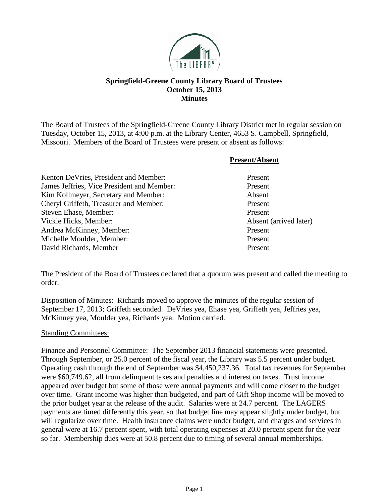

## **Springfield-Greene County Library Board of Trustees October 15, 2013 Minutes**

The Board of Trustees of the Springfield-Greene County Library District met in regular session on Tuesday, October 15, 2013, at 4:00 p.m. at the Library Center, 4653 S. Campbell, Springfield, Missouri. Members of the Board of Trustees were present or absent as follows:

|                                            | <b>Present/Absent</b>  |
|--------------------------------------------|------------------------|
| Kenton DeVries, President and Member:      | Present                |
| James Jeffries, Vice President and Member: | Present                |
| Kim Kollmeyer, Secretary and Member:       | Absent                 |
| Cheryl Griffeth, Treasurer and Member:     | Present                |
| Steven Ehase, Member:                      | Present                |
| Vickie Hicks, Member:                      | Absent (arrived later) |
| Andrea McKinney, Member:                   | Present                |
| Michelle Moulder, Member:                  | Present                |
| David Richards, Member                     | Present                |

The President of the Board of Trustees declared that a quorum was present and called the meeting to order.

Disposition of Minutes: Richards moved to approve the minutes of the regular session of September 17, 2013; Griffeth seconded. DeVries yea, Ehase yea, Griffeth yea, Jeffries yea, McKinney yea, Moulder yea, Richards yea. Motion carried.

## Standing Committees:

Finance and Personnel Committee: The September 2013 financial statements were presented. Through September, or 25.0 percent of the fiscal year, the Library was 5.5 percent under budget. Operating cash through the end of September was \$4,450,237.36. Total tax revenues for September were \$60,749.62, all from delinquent taxes and penalties and interest on taxes. Trust income appeared over budget but some of those were annual payments and will come closer to the budget over time. Grant income was higher than budgeted, and part of Gift Shop income will be moved to the prior budget year at the release of the audit. Salaries were at 24.7 percent. The LAGERS payments are timed differently this year, so that budget line may appear slightly under budget, but will regularize over time. Health insurance claims were under budget, and charges and services in general were at 16.7 percent spent, with total operating expenses at 20.0 percent spent for the year so far. Membership dues were at 50.8 percent due to timing of several annual memberships.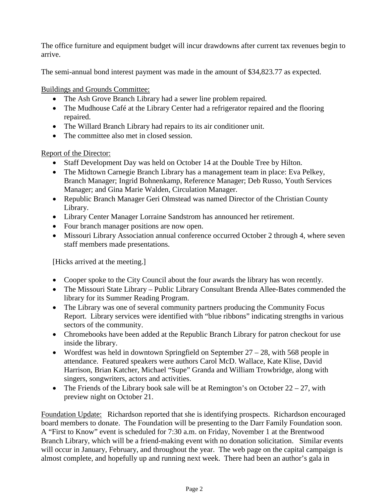The office furniture and equipment budget will incur drawdowns after current tax revenues begin to arrive.

The semi-annual bond interest payment was made in the amount of \$34,823.77 as expected.

Buildings and Grounds Committee:

- The Ash Grove Branch Library had a sewer line problem repaired.
- The Mudhouse Café at the Library Center had a refrigerator repaired and the flooring repaired.
- The Willard Branch Library had repairs to its air conditioner unit.
- The committee also met in closed session.

Report of the Director:

- Staff Development Day was held on October 14 at the Double Tree by Hilton.
- The Midtown Carnegie Branch Library has a management team in place: Eva Pelkey, Branch Manager; Ingrid Bohnenkamp, Reference Manager; Deb Russo, Youth Services Manager; and Gina Marie Walden, Circulation Manager.
- Republic Branch Manager Geri Olmstead was named Director of the Christian County Library.
- Library Center Manager Lorraine Sandstrom has announced her retirement.
- Four branch manager positions are now open.
- Missouri Library Association annual conference occurred October 2 through 4, where seven staff members made presentations.

[Hicks arrived at the meeting.]

- Cooper spoke to the City Council about the four awards the library has won recently.
- The Missouri State Library Public Library Consultant Brenda Allee-Bates commended the library for its Summer Reading Program.
- The Library was one of several community partners producing the Community Focus Report. Library services were identified with "blue ribbons" indicating strengths in various sectors of the community.
- Chromebooks have been added at the Republic Branch Library for patron checkout for use inside the library.
- Wordfest was held in downtown Springfield on September 27 28, with 568 people in attendance. Featured speakers were authors Carol McD. Wallace, Kate Klise, David Harrison, Brian Katcher, Michael "Supe" Granda and William Trowbridge, along with singers, songwriters, actors and activities.
- The Friends of the Library book sale will be at Remington's on October  $22 27$ , with preview night on October 21.

Foundation Update: Richardson reported that she is identifying prospects. Richardson encouraged board members to donate. The Foundation will be presenting to the Darr Family Foundation soon. A "First to Know" event is scheduled for 7:30 a.m. on Friday, November 1 at the Brentwood Branch Library, which will be a friend-making event with no donation solicitation. Similar events will occur in January, February, and throughout the year. The web page on the capital campaign is almost complete, and hopefully up and running next week. There had been an author's gala in